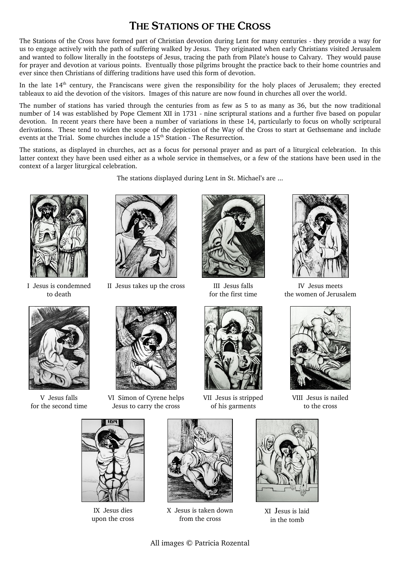## THE STATIONS OF THE CROSS

The Stations of the Cross have formed part of Christian devotion during Lent for many centuries - they provide a way for us to engage actively with the path of suffering walked by Jesus. They originated when early Christians visited Jerusalem and wanted to follow literally in the footsteps of Jesus, tracing the path from Pilate's house to Calvary. They would pause for prayer and devotion at various points. Eventually those pilgrims brought the practice back to their home countries and ever since then Christians of differing traditions have used this form of devotion.

In the late  $14<sup>th</sup>$  century, the Franciscans were given the responsibility for the holy places of Jerusalem; they erected tableaux to aid the devotion of the visitors. Images of this nature are now found in churches all over the world.

The number of stations has varied through the centuries from as few as 5 to as many as 36, but the now traditional number of 14 was established by Pope Clement XII in 1731 - nine scriptural stations and a further five based on popular devotion. In recent years there have been a number of variations in these 14, particularly to focus on wholly scriptural derivations. These tend to widen the scope of the depiction of the Way of the Cross to start at Gethsemane and include events at the Trial. Some churches include a  $15<sup>th</sup>$  Station - The Resurrection.

The stations, as displayed in churches, act as a focus for personal prayer and as part of a liturgical celebration. In this latter context they have been used either as a whole service in themselves, or a few of the stations have been used in the context of a larger liturgical celebration.

The stations displayed during Lent in St. Michael's are ...



I Jesus is condemned to death



V Jesus falls for the second time



II Jesus takes up the cross III Jesus falls



for the first time



IV Jesus meets the women of Jerusalem



VI Simon of Cyrene helps Jesus to carry the cross



VII Jesus is stripped of his garments



VIII Jesus is nailed to the cross



IX Jesus dies upon the cross



X Jesus is taken down from the cross



XI Jesus is laid in the tomb